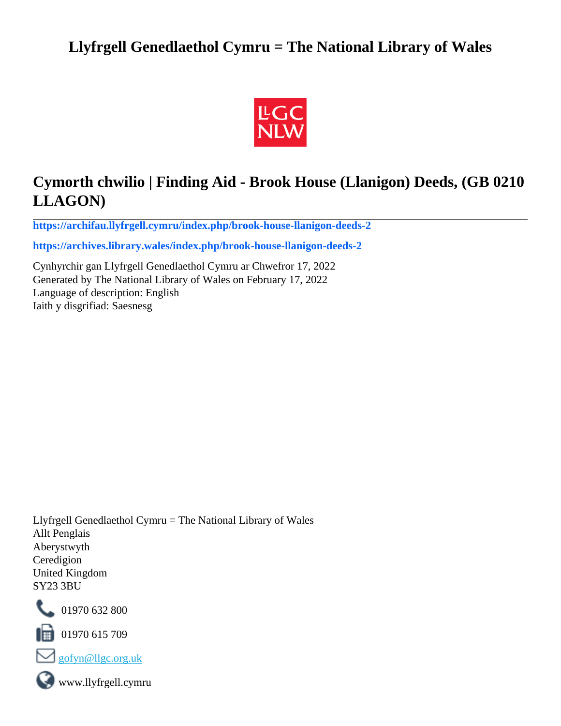## **Llyfrgell Genedlaethol Cymru = The National Library of Wales**



# **Cymorth chwilio | Finding Aid - Brook House (Llanigon) Deeds, (GB 0210 LLAGON)**

**[https://archifau.llyfrgell.cymru/index.php/brook-house-llanigon-deeds-2](https://archifau.llyfrgell.cymru/index.php/brook-house-llanigon-deeds-2;isad?sf_culture=cy)**

**[https://archives.library.wales/index.php/brook-house-llanigon-deeds-2](https://archives.library.wales/index.php/brook-house-llanigon-deeds-2;isad?sf_culture=en)**

Cynhyrchir gan Llyfrgell Genedlaethol Cymru ar Chwefror 17, 2022 Generated by The National Library of Wales on February 17, 2022 Language of description: English Iaith y disgrifiad: Saesnesg

Llyfrgell Genedlaethol Cymru = The National Library of Wales Allt Penglais Aberystwyth Ceredigion United Kingdom SY23 3BU



101970 632 800

 $\blacksquare$  01970 615 709



www.llyfrgell.cymru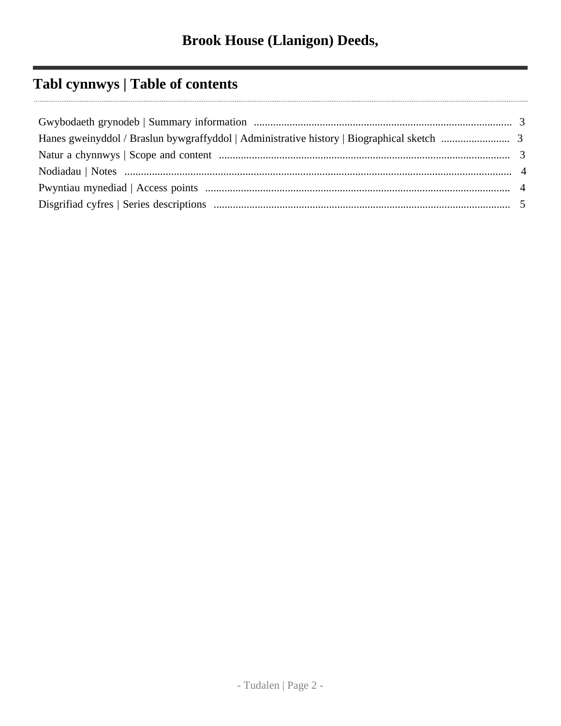# **Tabl cynnwys | Table of contents**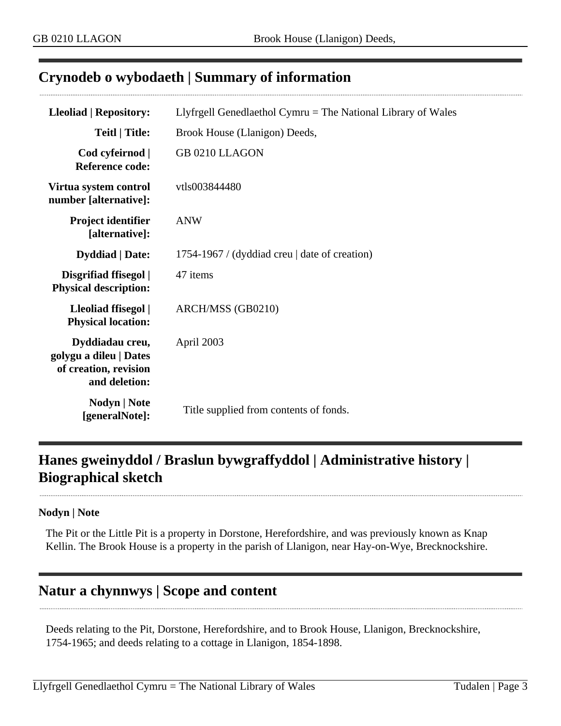### <span id="page-2-0"></span>**Crynodeb o wybodaeth | Summary of information**

| <b>Lleoliad   Repository:</b>                                                       | Llyfrgell Genedlaethol Cymru = The National Library of Wales |  |  |
|-------------------------------------------------------------------------------------|--------------------------------------------------------------|--|--|
| <b>Teitl</b>   Title:                                                               | Brook House (Llanigon) Deeds,                                |  |  |
| Cod cyfeirnod  <br>Reference code:                                                  | GB 0210 LLAGON                                               |  |  |
| Virtua system control<br>number [alternative]:                                      | vtls003844480                                                |  |  |
| <b>Project identifier</b><br>[alternative]:                                         | <b>ANW</b>                                                   |  |  |
| <b>Dyddiad</b>   Date:                                                              | 1754-1967 / (dyddiad creu   date of creation)                |  |  |
| Disgrifiad ffisegol  <br><b>Physical description:</b>                               | 47 items                                                     |  |  |
| Lleoliad ffisegol  <br><b>Physical location:</b>                                    | ARCH/MSS (GB0210)                                            |  |  |
| Dyddiadau creu,<br>golygu a dileu   Dates<br>of creation, revision<br>and deletion: | April 2003                                                   |  |  |
| Nodyn   Note<br>[generalNote]:                                                      | Title supplied from contents of fonds.                       |  |  |

## <span id="page-2-1"></span>**Hanes gweinyddol / Braslun bywgraffyddol | Administrative history | Biographical sketch**

#### **Nodyn | Note**

The Pit or the Little Pit is a property in Dorstone, Herefordshire, and was previously known as Knap Kellin. The Brook House is a property in the parish of Llanigon, near Hay-on-Wye, Brecknockshire.

### <span id="page-2-2"></span>**Natur a chynnwys | Scope and content**

Deeds relating to the Pit, Dorstone, Herefordshire, and to Brook House, Llanigon, Brecknockshire, 1754-1965; and deeds relating to a cottage in Llanigon, 1854-1898.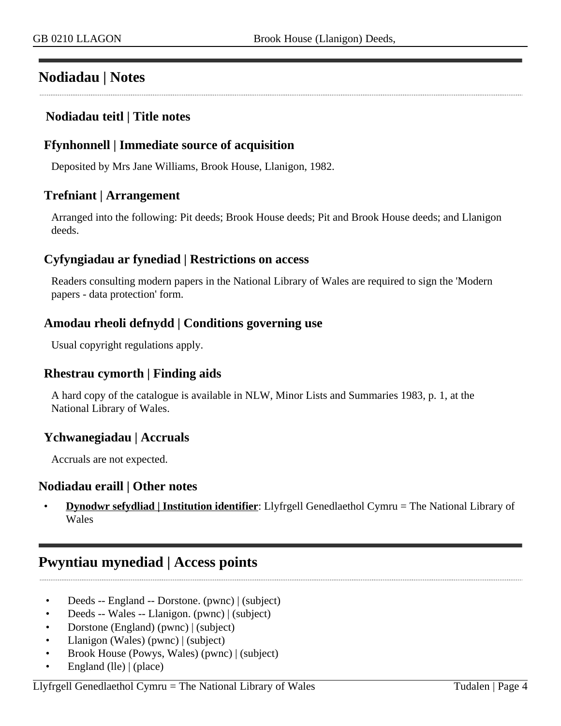## <span id="page-3-0"></span>**Nodiadau | Notes**

#### **Nodiadau teitl | Title notes**

#### **Ffynhonnell | Immediate source of acquisition**

Deposited by Mrs Jane Williams, Brook House, Llanigon, 1982.

#### **Trefniant | Arrangement**

Arranged into the following: Pit deeds; Brook House deeds; Pit and Brook House deeds; and Llanigon deeds.

#### **Cyfyngiadau ar fynediad | Restrictions on access**

Readers consulting modern papers in the National Library of Wales are required to sign the 'Modern papers - data protection' form.

#### **Amodau rheoli defnydd | Conditions governing use**

Usual copyright regulations apply.

#### **Rhestrau cymorth | Finding aids**

A hard copy of the catalogue is available in NLW, Minor Lists and Summaries 1983, p. 1, at the National Library of Wales.

#### **Ychwanegiadau | Accruals**

Accruals are not expected.

#### **Nodiadau eraill | Other notes**

• **Dynodwr sefydliad | Institution identifier**: Llyfrgell Genedlaethol Cymru = The National Library of Wales

### <span id="page-3-1"></span>**Pwyntiau mynediad | Access points**

- Deeds -- England -- Dorstone. (pwnc) | (subject)
- Deeds -- Wales -- Llanigon. (pwnc) | (subject)
- Dorstone (England) (pwnc) | (subject)
- Llanigon (Wales) (pwnc) | (subject)
- Brook House (Powys, Wales) (pwnc) | (subject)
- England (lle) | (place)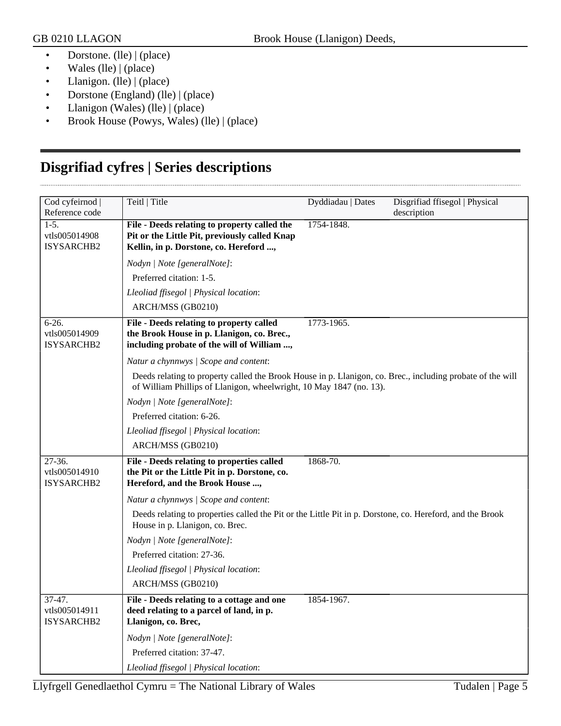- Dorstone. (lle) | (place)
- Wales (lle) | (place)
- Llanigon. (lle) | (place)
- Dorstone (England) (lle) | (place)
- Llanigon (Wales) (lle) | (place)
- Brook House (Powys, Wales) (lle) | (place)

## <span id="page-4-0"></span>**Disgrifiad cyfres | Series descriptions**

| Cod cyfeirnod                                           | Teitl   Title                                                                                                                                                                     | Dyddiadau   Dates | Disgrifiad ffisegol   Physical |
|---------------------------------------------------------|-----------------------------------------------------------------------------------------------------------------------------------------------------------------------------------|-------------------|--------------------------------|
| Reference code<br>$1-5.$<br>vtls005014908<br>ISYSARCHB2 | File - Deeds relating to property called the<br>Pit or the Little Pit, previously called Knap<br>Kellin, in p. Dorstone, co. Hereford ,                                           | 1754-1848.        | description                    |
|                                                         | Nodyn   Note [generalNote]:                                                                                                                                                       |                   |                                |
|                                                         | Preferred citation: 1-5.                                                                                                                                                          |                   |                                |
|                                                         | Lleoliad ffisegol   Physical location:                                                                                                                                            |                   |                                |
|                                                         | ARCH/MSS (GB0210)                                                                                                                                                                 |                   |                                |
| $6-26.$<br>vtls005014909<br>ISYSARCHB2                  | File - Deeds relating to property called<br>the Brook House in p. Llanigon, co. Brec.,<br>including probate of the will of William ,                                              | 1773-1965.        |                                |
|                                                         | Natur a chynnwys / Scope and content:                                                                                                                                             |                   |                                |
|                                                         | Deeds relating to property called the Brook House in p. Llanigon, co. Brec., including probate of the will<br>of William Phillips of Llanigon, wheelwright, 10 May 1847 (no. 13). |                   |                                |
|                                                         | Nodyn   Note [generalNote]:                                                                                                                                                       |                   |                                |
|                                                         | Preferred citation: 6-26.                                                                                                                                                         |                   |                                |
|                                                         | Lleoliad ffisegol   Physical location:                                                                                                                                            |                   |                                |
|                                                         | ARCH/MSS (GB0210)                                                                                                                                                                 |                   |                                |
| 27-36.<br>vtls005014910<br>ISYSARCHB2                   | File - Deeds relating to properties called<br>the Pit or the Little Pit in p. Dorstone, co.<br>Hereford, and the Brook House ,                                                    | 1868-70.          |                                |
|                                                         | Natur a chynnwys / Scope and content:                                                                                                                                             |                   |                                |
|                                                         | Deeds relating to properties called the Pit or the Little Pit in p. Dorstone, co. Hereford, and the Brook<br>House in p. Llanigon, co. Brec.                                      |                   |                                |
|                                                         | Nodyn   Note [generalNote]:                                                                                                                                                       |                   |                                |
|                                                         | Preferred citation: 27-36.                                                                                                                                                        |                   |                                |
|                                                         | Lleoliad ffisegol   Physical location:                                                                                                                                            |                   |                                |
|                                                         | ARCH/MSS (GB0210)                                                                                                                                                                 |                   |                                |
| 37-47.<br>vtls005014911<br>ISYSARCHB2                   | File - Deeds relating to a cottage and one<br>deed relating to a parcel of land, in p.<br>Llanigon, co. Brec,                                                                     | 1854-1967.        |                                |
|                                                         | Nodyn   Note [generalNote]:                                                                                                                                                       |                   |                                |
|                                                         | Preferred citation: 37-47.                                                                                                                                                        |                   |                                |
|                                                         | Lleoliad ffisegol   Physical location:                                                                                                                                            |                   |                                |